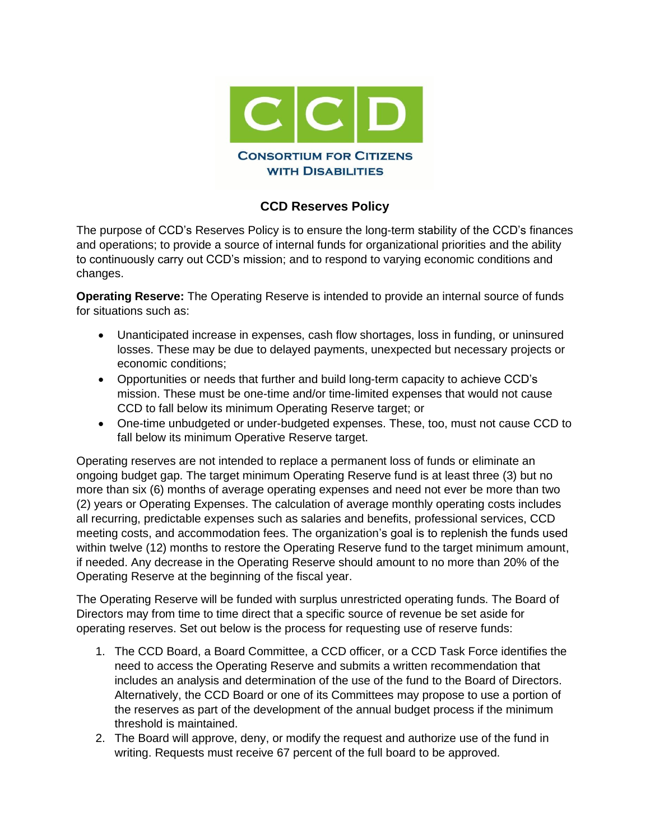

## **CCD Reserves Policy**

The purpose of CCD's Reserves Policy is to ensure the long-term stability of the CCD's finances and operations; to provide a source of internal funds for organizational priorities and the ability to continuously carry out CCD's mission; and to respond to varying economic conditions and changes.

**Operating Reserve:** The Operating Reserve is intended to provide an internal source of funds for situations such as:

- Unanticipated increase in expenses, cash flow shortages, loss in funding, or uninsured losses. These may be due to delayed payments, unexpected but necessary projects or economic conditions;
- Opportunities or needs that further and build long-term capacity to achieve CCD's mission. These must be one-time and/or time-limited expenses that would not cause CCD to fall below its minimum Operating Reserve target; or
- One-time unbudgeted or under-budgeted expenses. These, too, must not cause CCD to fall below its minimum Operative Reserve target.

Operating reserves are not intended to replace a permanent loss of funds or eliminate an ongoing budget gap. The target minimum Operating Reserve fund is at least three (3) but no more than six (6) months of average operating expenses and need not ever be more than two (2) years or Operating Expenses. The calculation of average monthly operating costs includes all recurring, predictable expenses such as salaries and benefits, professional services, CCD meeting costs, and accommodation fees. The organization's goal is to replenish the funds used within twelve (12) months to restore the Operating Reserve fund to the target minimum amount, if needed. Any decrease in the Operating Reserve should amount to no more than 20% of the Operating Reserve at the beginning of the fiscal year.

The Operating Reserve will be funded with surplus unrestricted operating funds. The Board of Directors may from time to time direct that a specific source of revenue be set aside for operating reserves. Set out below is the process for requesting use of reserve funds:

- 1. The CCD Board, a Board Committee, a CCD officer, or a CCD Task Force identifies the need to access the Operating Reserve and submits a written recommendation that includes an analysis and determination of the use of the fund to the Board of Directors. Alternatively, the CCD Board or one of its Committees may propose to use a portion of the reserves as part of the development of the annual budget process if the minimum threshold is maintained.
- 2. The Board will approve, deny, or modify the request and authorize use of the fund in writing. Requests must receive 67 percent of the full board to be approved.